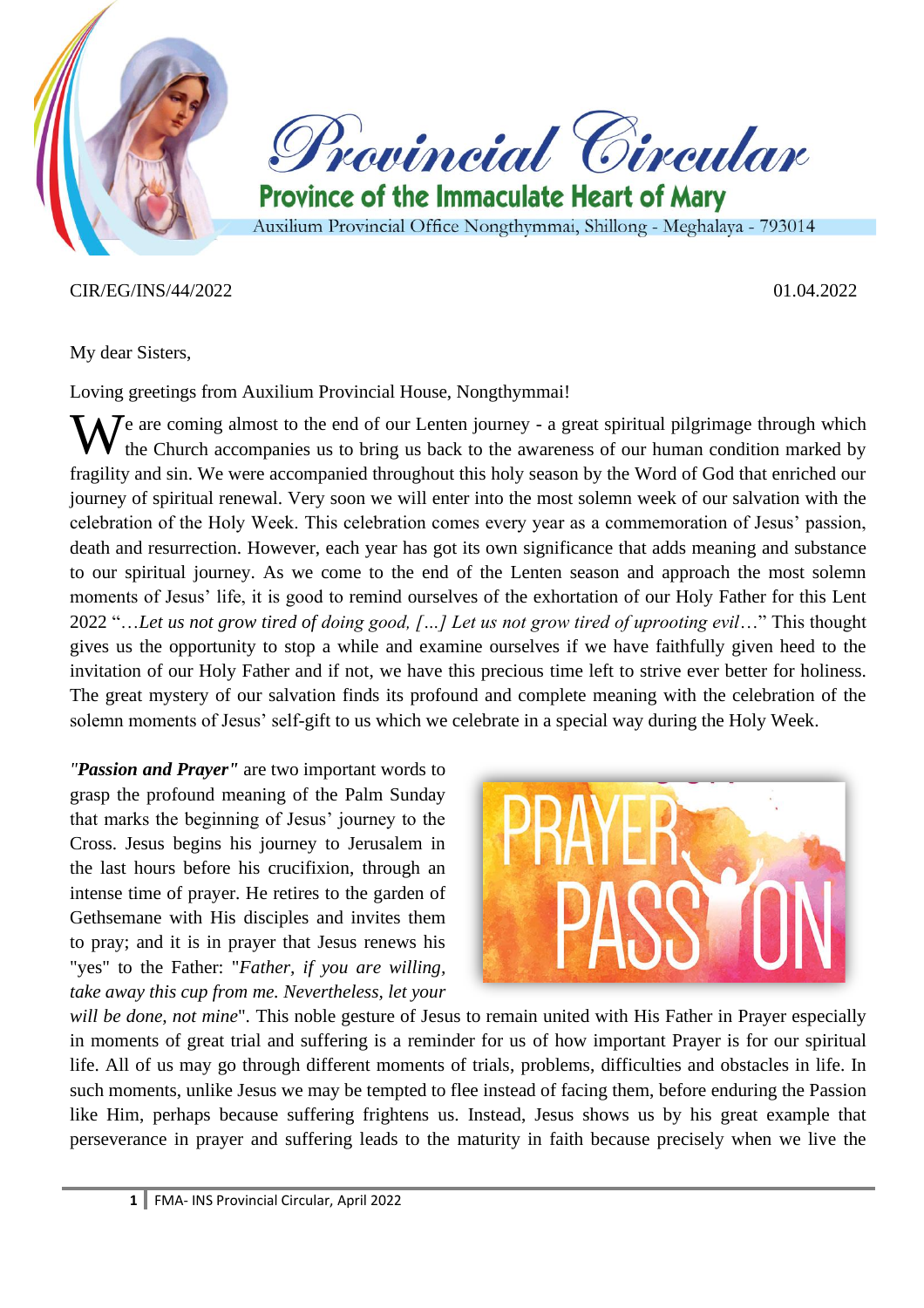



**Province of the Immaculate Heart of Mary** Auxilium Provincial Office Nongthymmai, Shillong - Meghalaya - 793014

#### CIR/EG/INS/44/2022 01.04.2022

My dear Sisters,

Loving greetings from Auxilium Provincial House, Nongthymmai!

We are coming almost to the end of our Lenten journey - a great spiritual pilgrimage through which the Church accompanies us to bring us back to the awareness of our human condition marked by the Church accompanies us to bring us back to the awareness of our human condition marked by fragility and sin. We were accompanied throughout this holy season by the Word of God that enriched our journey of spiritual renewal. Very soon we will enter into the most solemn week of our salvation with the celebration of the Holy Week. This celebration comes every year as a commemoration of Jesus' passion, death and resurrection. However, each year has got its own significance that adds meaning and substance to our spiritual journey. As we come to the end of the Lenten season and approach the most solemn moments of Jesus' life, it is good to remind ourselves of the exhortation of our Holy Father for this Lent 2022 "…*Let us not grow tired of doing good, […] Let us not grow tired of uprooting evil*…" This thought gives us the opportunity to stop a while and examine ourselves if we have faithfully given heed to the invitation of our Holy Father and if not, we have this precious time left to strive ever better for holiness. The great mystery of our salvation finds its profound and complete meaning with the celebration of the solemn moments of Jesus' self-gift to us which we celebrate in a special way during the Holy Week.

*"Passion and Prayer"* are two important words to grasp the profound meaning of the Palm Sunday that marks the beginning of Jesus' journey to the Cross. Jesus begins his journey to Jerusalem in the last hours before his crucifixion, through an intense time of prayer. He retires to the garden of Gethsemane with His disciples and invites them to pray; and it is in prayer that Jesus renews his "yes" to the Father: "*Father, if you are willing, take away this cup from me. Nevertheless, let your* 



*will be done, not mine*". This noble gesture of Jesus to remain united with His Father in Prayer especially in moments of great trial and suffering is a reminder for us of how important Prayer is for our spiritual life. All of us may go through different moments of trials, problems, difficulties and obstacles in life. In such moments, unlike Jesus we may be tempted to flee instead of facing them, before enduring the Passion like Him, perhaps because suffering frightens us. Instead, Jesus shows us by his great example that perseverance in prayer and suffering leads to the maturity in faith because precisely when we live the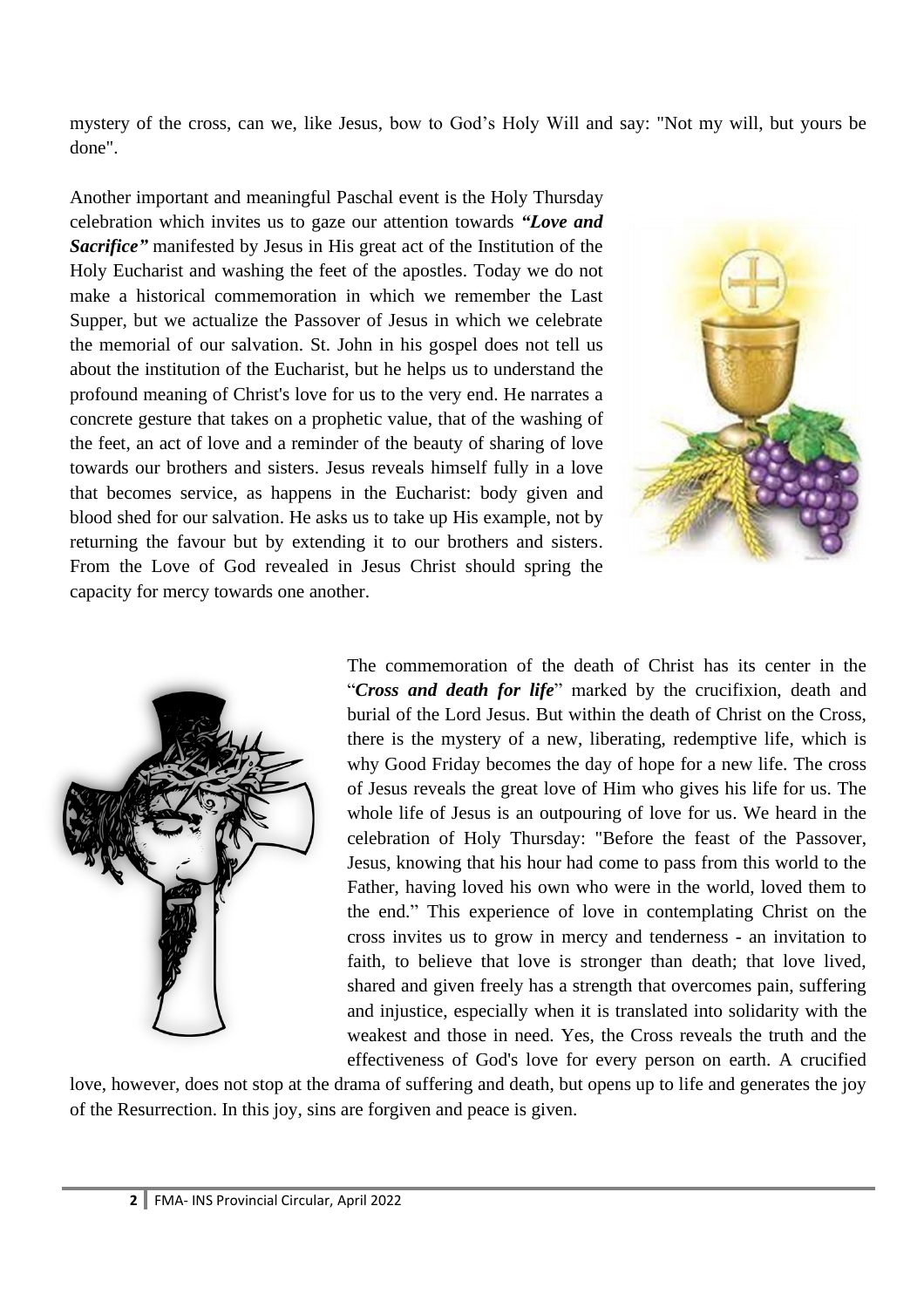mystery of the cross, can we, like Jesus, bow to God's Holy Will and say: "Not my will, but yours be done".

Another important and meaningful Paschal event is the Holy Thursday celebration which invites us to gaze our attention towards *"Love and Sacrifice"* manifested by Jesus in His great act of the Institution of the Holy Eucharist and washing the feet of the apostles. Today we do not make a historical commemoration in which we remember the Last Supper, but we actualize the Passover of Jesus in which we celebrate the memorial of our salvation. St. John in his gospel does not tell us about the institution of the Eucharist, but he helps us to understand the profound meaning of Christ's love for us to the very end. He narrates a concrete gesture that takes on a prophetic value, that of the washing of the feet, an act of love and a reminder of the beauty of sharing of love towards our brothers and sisters. Jesus reveals himself fully in a love that becomes service, as happens in the Eucharist: body given and blood shed for our salvation. He asks us to take up His example, not by returning the favour but by extending it to our brothers and sisters. From the Love of God revealed in Jesus Christ should spring the capacity for mercy towards one another.





The commemoration of the death of Christ has its center in the "*Cross and death for life*" marked by the crucifixion, death and burial of the Lord Jesus. But within the death of Christ on the Cross, there is the mystery of a new, liberating, redemptive life, which is why Good Friday becomes the day of hope for a new life. The cross of Jesus reveals the great love of Him who gives his life for us. The whole life of Jesus is an outpouring of love for us. We heard in the celebration of Holy Thursday: "Before the feast of the Passover, Jesus, knowing that his hour had come to pass from this world to the Father, having loved his own who were in the world, loved them to the end." This experience of love in contemplating Christ on the cross invites us to grow in mercy and tenderness - an invitation to faith, to believe that love is stronger than death; that love lived, shared and given freely has a strength that overcomes pain, suffering and injustice, especially when it is translated into solidarity with the weakest and those in need. Yes, the Cross reveals the truth and the effectiveness of God's love for every person on earth. A crucified

love, however, does not stop at the drama of suffering and death, but opens up to life and generates the joy of the Resurrection. In this joy, sins are forgiven and peace is given.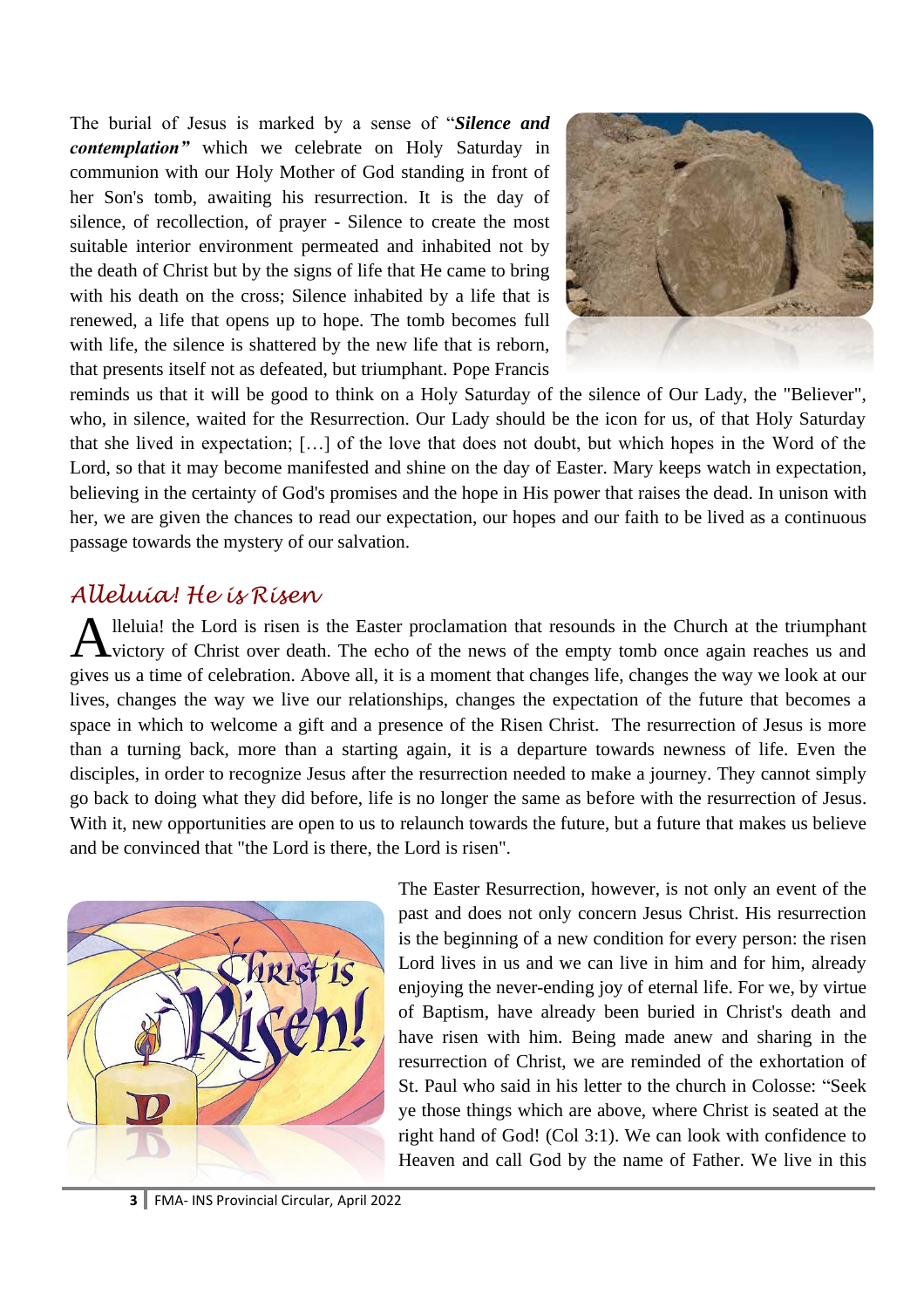The burial of Jesus is marked by a sense of "*Silence and contemplation"* which we celebrate on Holy Saturday in communion with our Holy Mother of God standing in front of her Son's tomb, awaiting his resurrection. It is the day of silence, of recollection, of prayer - Silence to create the most suitable interior environment permeated and inhabited not by the death of Christ but by the signs of life that He came to bring with his death on the cross; Silence inhabited by a life that is renewed, a life that opens up to hope. The tomb becomes full with life, the silence is shattered by the new life that is reborn, that presents itself not as defeated, but triumphant. Pope Francis



reminds us that it will be good to think on a Holy Saturday of the silence of Our Lady, the "Believer", who, in silence, waited for the Resurrection. Our Lady should be the icon for us, of that Holy Saturday that she lived in expectation; […] of the love that does not doubt, but which hopes in the Word of the Lord, so that it may become manifested and shine on the day of Easter. Mary keeps watch in expectation, believing in the certainty of God's promises and the hope in His power that raises the dead. In unison with her, we are given the chances to read our expectation, our hopes and our faith to be lived as a continuous passage towards the mystery of our salvation.

#### *Alleluia! He is Risen*

lleluia! the Lord is risen is the Easter proclamation that resounds in the Church at the triumphant Alleluia! the Lord is risen is the Easter proclamation that resounds in the Church at the triumphant victory of Christ over death. The echo of the news of the empty tomb once again reaches us and gives us a time of celebration. Above all, it is a moment that changes life, changes the way we look at our lives, changes the way we live our relationships, changes the expectation of the future that becomes a space in which to welcome a gift and a presence of the Risen Christ. The resurrection of Jesus is more than a turning back, more than a starting again, it is a departure towards newness of life. Even the disciples, in order to recognize Jesus after the resurrection needed to make a journey. They cannot simply go back to doing what they did before, life is no longer the same as before with the resurrection of Jesus. With it, new opportunities are open to us to relaunch towards the future, but a future that makes us believe and be convinced that "the Lord is there, the Lord is risen".



The Easter Resurrection, however, is not only an event of the past and does not only concern Jesus Christ. His resurrection is the beginning of a new condition for every person: the risen Lord lives in us and we can live in him and for him, already enjoying the never-ending joy of eternal life. For we, by virtue of Baptism, have already been buried in Christ's death and have risen with him. Being made anew and sharing in the resurrection of Christ, we are reminded of the exhortation of St. Paul who said in his letter to the church in Colosse: "Seek ye those things which are above, where Christ is seated at the right hand of God! (Col 3:1). We can look with confidence to Heaven and call God by the name of Father. We live in this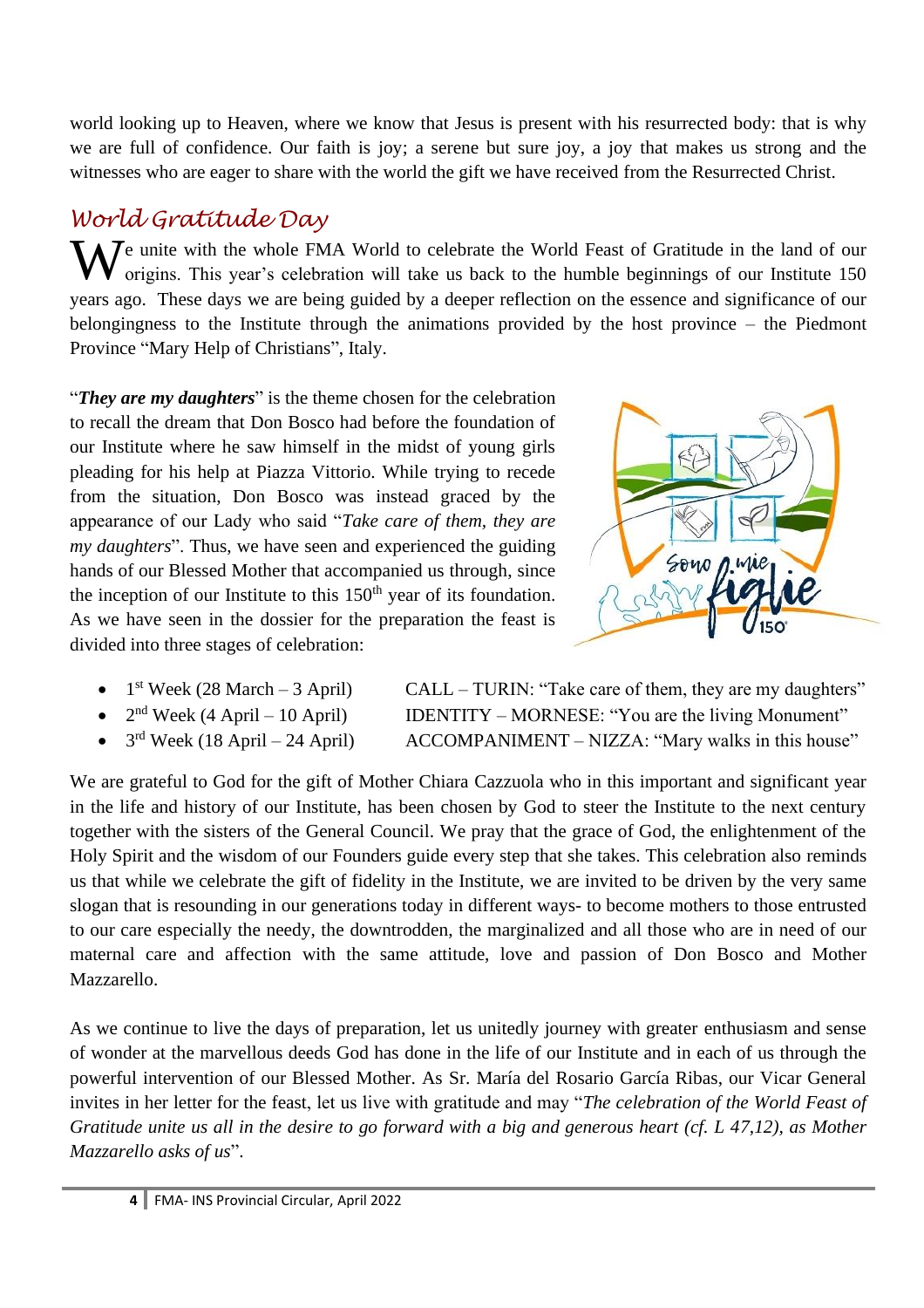world looking up to Heaven, where we know that Jesus is present with his resurrected body: that is why we are full of confidence. Our faith is joy; a serene but sure joy, a joy that makes us strong and the witnesses who are eager to share with the world the gift we have received from the Resurrected Christ.

## *World Gratitude Day*

We unite with the whole FMA World to celebrate the World Feast of Gratitude in the land of our origins. This year's celebration will take us back to the humble beginnings of our Institute 150 origins. This year's celebration will take us back to the humble beginnings of our Institute 150 years ago. These days we are being guided by a deeper reflection on the essence and significance of our belongingness to the Institute through the animations provided by the host province – the Piedmont Province "Mary Help of Christians", Italy.

"*They are my daughters*" is the theme chosen for the celebration to recall the dream that Don Bosco had before the foundation of our Institute where he saw himself in the midst of young girls pleading for his help at Piazza Vittorio. While trying to recede from the situation, Don Bosco was instead graced by the appearance of our Lady who said "*Take care of them, they are my daughters*". Thus, we have seen and experienced the guiding hands of our Blessed Mother that accompanied us through, since the inception of our Institute to this  $150<sup>th</sup>$  year of its foundation. As we have seen in the dossier for the preparation the feast is divided into three stages of celebration:



- $1<sup>st</sup> \text{ week } (28 \text{ March} 3 \text{ April})$
- $2<sup>nd</sup>$  Week (4 April 10 April)
- $3^{\text{rd}}$  Week (18 April 24 April)

 $CALL - TURIN: "Take care of them, they are my daughters"$ IDENTITY – MORNESE: "You are the living Monument" ACCOMPANIMENT – NIZZA: "Mary walks in this house"

We are grateful to God for the gift of Mother Chiara Cazzuola who in this important and significant year in the life and history of our Institute, has been chosen by God to steer the Institute to the next century together with the sisters of the General Council. We pray that the grace of God, the enlightenment of the Holy Spirit and the wisdom of our Founders guide every step that she takes. This celebration also reminds us that while we celebrate the gift of fidelity in the Institute, we are invited to be driven by the very same slogan that is resounding in our generations today in different ways- to become mothers to those entrusted to our care especially the needy, the downtrodden, the marginalized and all those who are in need of our maternal care and affection with the same attitude, love and passion of Don Bosco and Mother Mazzarello.

As we continue to live the days of preparation, let us unitedly journey with greater enthusiasm and sense of wonder at the marvellous deeds God has done in the life of our Institute and in each of us through the powerful intervention of our Blessed Mother. As Sr. María del Rosario García Ribas, our Vicar General invites in her letter for the feast, let us live with gratitude and may "*The celebration of the World Feast of Gratitude unite us all in the desire to go forward with a big and generous heart (cf. L 47,12), as Mother Mazzarello asks of us*".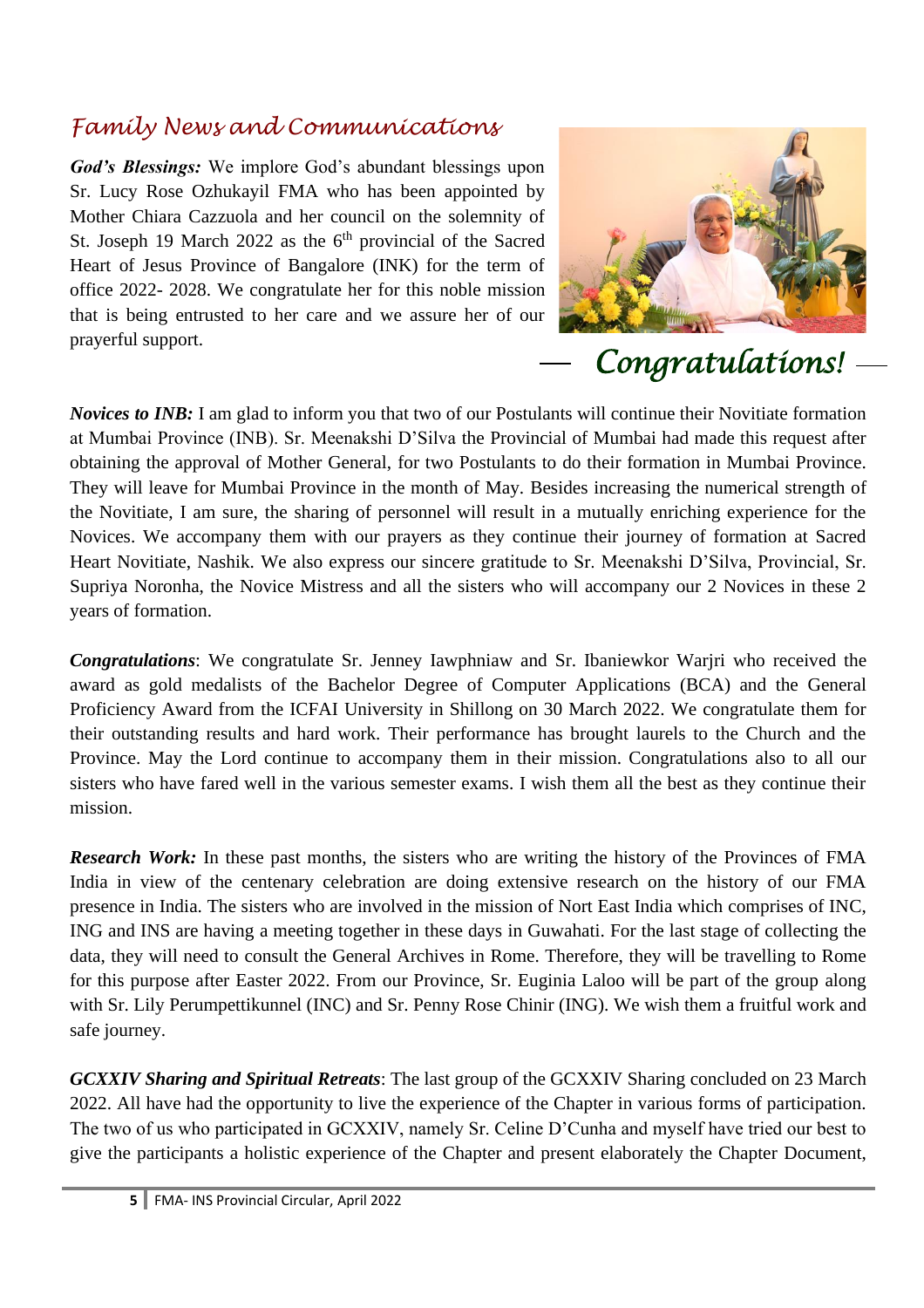### *Family News and Communications*

*God's Blessings:* We implore God's abundant blessings upon Sr. Lucy Rose Ozhukayil FMA who has been appointed by Mother Chiara Cazzuola and her council on the solemnity of St. Joseph 19 March 2022 as the  $6<sup>th</sup>$  provincial of the Sacred Heart of Jesus Province of Bangalore (INK) for the term of office 2022- 2028. We congratulate her for this noble mission that is being entrusted to her care and we assure her of our prayerful support.



*Congratulations!* 

*Novices to INB:* I am glad to inform you that two of our Postulants will continue their Novitiate formation at Mumbai Province (INB). Sr. Meenakshi D'Silva the Provincial of Mumbai had made this request after obtaining the approval of Mother General, for two Postulants to do their formation in Mumbai Province. They will leave for Mumbai Province in the month of May. Besides increasing the numerical strength of the Novitiate, I am sure, the sharing of personnel will result in a mutually enriching experience for the Novices. We accompany them with our prayers as they continue their journey of formation at Sacred Heart Novitiate, Nashik. We also express our sincere gratitude to Sr. Meenakshi D'Silva, Provincial, Sr. Supriya Noronha, the Novice Mistress and all the sisters who will accompany our 2 Novices in these 2 years of formation.

*Congratulations*: We congratulate Sr. Jenney Iawphniaw and Sr. Ibaniewkor Warjri who received the award as gold medalists of the Bachelor Degree of Computer Applications (BCA) and the General Proficiency Award from the ICFAI University in Shillong on 30 March 2022. We congratulate them for their outstanding results and hard work. Their performance has brought laurels to the Church and the Province. May the Lord continue to accompany them in their mission. Congratulations also to all our sisters who have fared well in the various semester exams. I wish them all the best as they continue their mission.

*Research Work:* In these past months, the sisters who are writing the history of the Provinces of FMA India in view of the centenary celebration are doing extensive research on the history of our FMA presence in India. The sisters who are involved in the mission of Nort East India which comprises of INC, ING and INS are having a meeting together in these days in Guwahati. For the last stage of collecting the data, they will need to consult the General Archives in Rome. Therefore, they will be travelling to Rome for this purpose after Easter 2022. From our Province, Sr. Euginia Laloo will be part of the group along with Sr. Lily Perumpettikunnel (INC) and Sr. Penny Rose Chinir (ING). We wish them a fruitful work and safe journey.

*GCXXIV Sharing and Spiritual Retreats*: The last group of the GCXXIV Sharing concluded on 23 March 2022. All have had the opportunity to live the experience of the Chapter in various forms of participation. The two of us who participated in GCXXIV, namely Sr. Celine D'Cunha and myself have tried our best to give the participants a holistic experience of the Chapter and present elaborately the Chapter Document,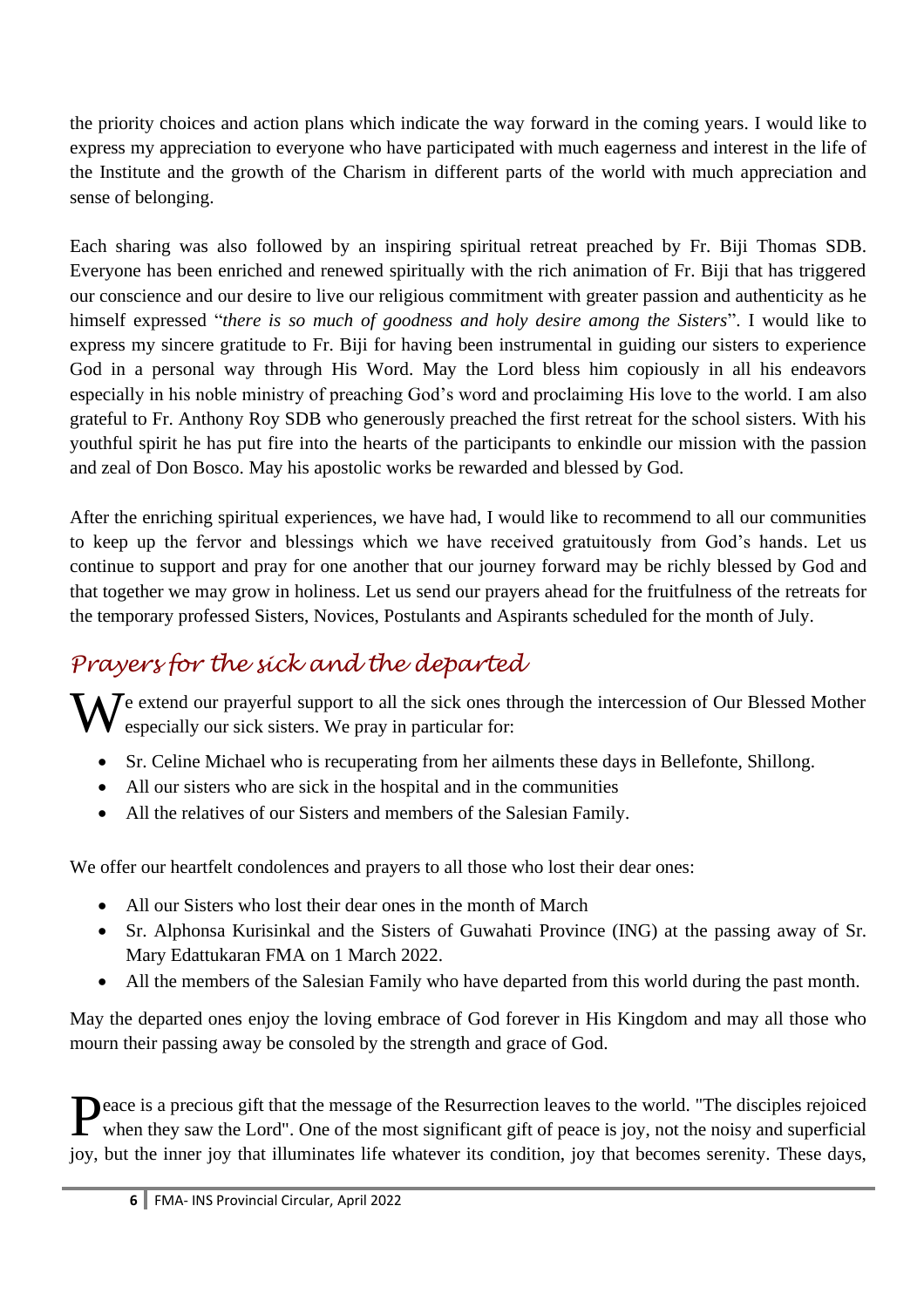the priority choices and action plans which indicate the way forward in the coming years. I would like to express my appreciation to everyone who have participated with much eagerness and interest in the life of the Institute and the growth of the Charism in different parts of the world with much appreciation and sense of belonging.

Each sharing was also followed by an inspiring spiritual retreat preached by Fr. Biji Thomas SDB. Everyone has been enriched and renewed spiritually with the rich animation of Fr. Biji that has triggered our conscience and our desire to live our religious commitment with greater passion and authenticity as he himself expressed "*there is so much of goodness and holy desire among the Sisters*". I would like to express my sincere gratitude to Fr. Biji for having been instrumental in guiding our sisters to experience God in a personal way through His Word. May the Lord bless him copiously in all his endeavors especially in his noble ministry of preaching God's word and proclaiming His love to the world. I am also grateful to Fr. Anthony Roy SDB who generously preached the first retreat for the school sisters. With his youthful spirit he has put fire into the hearts of the participants to enkindle our mission with the passion and zeal of Don Bosco. May his apostolic works be rewarded and blessed by God.

After the enriching spiritual experiences, we have had, I would like to recommend to all our communities to keep up the fervor and blessings which we have received gratuitously from God's hands. Let us continue to support and pray for one another that our journey forward may be richly blessed by God and that together we may grow in holiness. Let us send our prayers ahead for the fruitfulness of the retreats for the temporary professed Sisters, Novices, Postulants and Aspirants scheduled for the month of July.

# *Prayers for the sick and the departed*

We extend our prayerful support to all the sick ones through the intercession of Our Blessed Mother especially our sick sisters. We pray in particular for: especially our sick sisters. We pray in particular for:

- Sr. Celine Michael who is recuperating from her ailments these days in Bellefonte, Shillong.
- All our sisters who are sick in the hospital and in the communities
- All the relatives of our Sisters and members of the Salesian Family.

We offer our heartfelt condolences and prayers to all those who lost their dear ones:

- All our Sisters who lost their dear ones in the month of March
- Sr. Alphonsa Kurisinkal and the Sisters of Guwahati Province (ING) at the passing away of Sr. Mary Edattukaran FMA on 1 March 2022.
- All the members of the Salesian Family who have departed from this world during the past month.

May the departed ones enjoy the loving embrace of God forever in His Kingdom and may all those who mourn their passing away be consoled by the strength and grace of God.

Peace is a precious gift that the message of the Resurrection leaves to the world. "The disciples rejoiced when they saw the Lord". One of the most significant gift of peace is joy, not the noisy and superficial when they saw the Lord". One of the most significant gift of peace is joy, not the noisy and superficial joy, but the inner joy that illuminates life whatever its condition, joy that becomes serenity. These days,